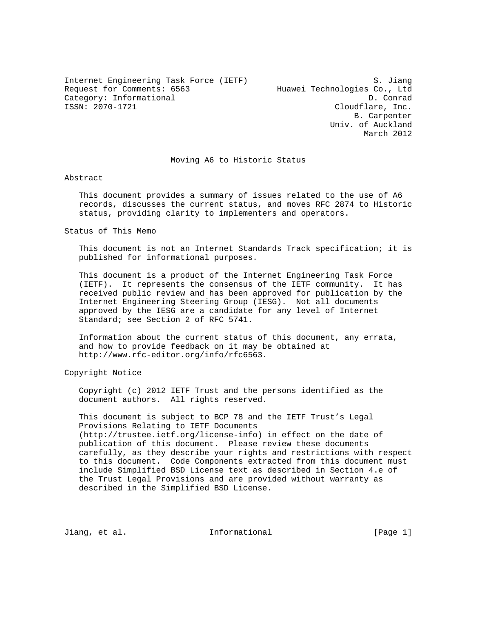Internet Engineering Task Force (IETF) S. Jiang Request for Comments: 6563 Huawei Technologies Co., Ltd Category: Informational D. Conrad<br>
ISSN: 2070-1721 Cloudflare. Inc.

Cloudflare, Inc. B. Carpenter Univ. of Auckland March 2012

### Moving A6 to Historic Status

Abstract

 This document provides a summary of issues related to the use of A6 records, discusses the current status, and moves RFC 2874 to Historic status, providing clarity to implementers and operators.

Status of This Memo

 This document is not an Internet Standards Track specification; it is published for informational purposes.

 This document is a product of the Internet Engineering Task Force (IETF). It represents the consensus of the IETF community. It has received public review and has been approved for publication by the Internet Engineering Steering Group (IESG). Not all documents approved by the IESG are a candidate for any level of Internet Standard; see Section 2 of RFC 5741.

 Information about the current status of this document, any errata, and how to provide feedback on it may be obtained at http://www.rfc-editor.org/info/rfc6563.

Copyright Notice

 Copyright (c) 2012 IETF Trust and the persons identified as the document authors. All rights reserved.

 This document is subject to BCP 78 and the IETF Trust's Legal Provisions Relating to IETF Documents (http://trustee.ietf.org/license-info) in effect on the date of publication of this document. Please review these documents carefully, as they describe your rights and restrictions with respect to this document. Code Components extracted from this document must include Simplified BSD License text as described in Section 4.e of the Trust Legal Provisions and are provided without warranty as described in the Simplified BSD License.

Jiang, et al. Informational [Page 1]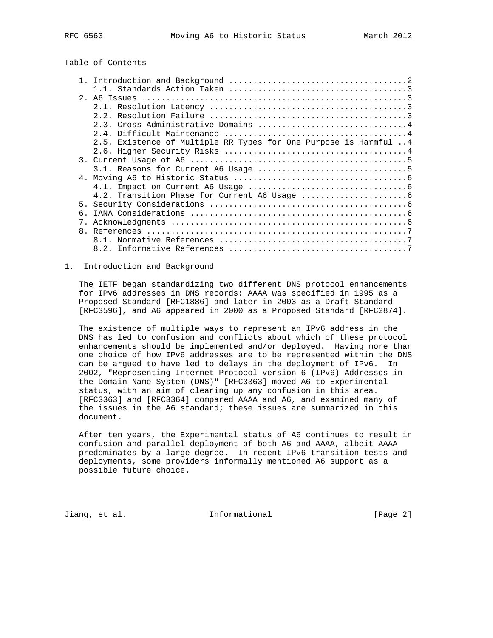# Table of Contents

|                | 2.5. Existence of Multiple RR Types for One Purpose is Harmful 4 |
|----------------|------------------------------------------------------------------|
|                |                                                                  |
|                |                                                                  |
|                |                                                                  |
|                |                                                                  |
|                |                                                                  |
|                |                                                                  |
|                |                                                                  |
| 5 <sub>1</sub> |                                                                  |
| б.             |                                                                  |
|                |                                                                  |
|                |                                                                  |
|                |                                                                  |
|                |                                                                  |
|                |                                                                  |

## 1. Introduction and Background

 The IETF began standardizing two different DNS protocol enhancements for IPv6 addresses in DNS records: AAAA was specified in 1995 as a Proposed Standard [RFC1886] and later in 2003 as a Draft Standard [RFC3596], and A6 appeared in 2000 as a Proposed Standard [RFC2874].

 The existence of multiple ways to represent an IPv6 address in the DNS has led to confusion and conflicts about which of these protocol enhancements should be implemented and/or deployed. Having more than one choice of how IPv6 addresses are to be represented within the DNS can be argued to have led to delays in the deployment of IPv6. In 2002, "Representing Internet Protocol version 6 (IPv6) Addresses in the Domain Name System (DNS)" [RFC3363] moved A6 to Experimental status, with an aim of clearing up any confusion in this area. [RFC3363] and [RFC3364] compared AAAA and A6, and examined many of the issues in the A6 standard; these issues are summarized in this document.

 After ten years, the Experimental status of A6 continues to result in confusion and parallel deployment of both A6 and AAAA, albeit AAAA predominates by a large degree. In recent IPv6 transition tests and deployments, some providers informally mentioned A6 support as a possible future choice.

Jiang, et al. 10 1nformational 100 minutional [Page 2]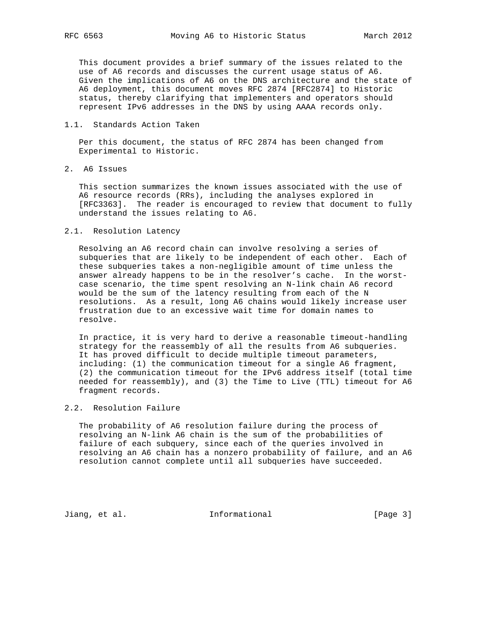This document provides a brief summary of the issues related to the use of A6 records and discusses the current usage status of A6. Given the implications of A6 on the DNS architecture and the state of A6 deployment, this document moves RFC 2874 [RFC2874] to Historic status, thereby clarifying that implementers and operators should represent IPv6 addresses in the DNS by using AAAA records only.

## 1.1. Standards Action Taken

 Per this document, the status of RFC 2874 has been changed from Experimental to Historic.

2. A6 Issues

 This section summarizes the known issues associated with the use of A6 resource records (RRs), including the analyses explored in [RFC3363]. The reader is encouraged to review that document to fully understand the issues relating to A6.

#### 2.1. Resolution Latency

 Resolving an A6 record chain can involve resolving a series of subqueries that are likely to be independent of each other. Each of these subqueries takes a non-negligible amount of time unless the answer already happens to be in the resolver's cache. In the worst case scenario, the time spent resolving an N-link chain A6 record would be the sum of the latency resulting from each of the N resolutions. As a result, long A6 chains would likely increase user frustration due to an excessive wait time for domain names to resolve.

 In practice, it is very hard to derive a reasonable timeout-handling strategy for the reassembly of all the results from A6 subqueries. It has proved difficult to decide multiple timeout parameters, including: (1) the communication timeout for a single A6 fragment, (2) the communication timeout for the IPv6 address itself (total time needed for reassembly), and (3) the Time to Live (TTL) timeout for A6 fragment records.

## 2.2. Resolution Failure

 The probability of A6 resolution failure during the process of resolving an N-link A6 chain is the sum of the probabilities of failure of each subquery, since each of the queries involved in resolving an A6 chain has a nonzero probability of failure, and an A6 resolution cannot complete until all subqueries have succeeded.

Jiang, et al. 1nformational 1999 [Page 3]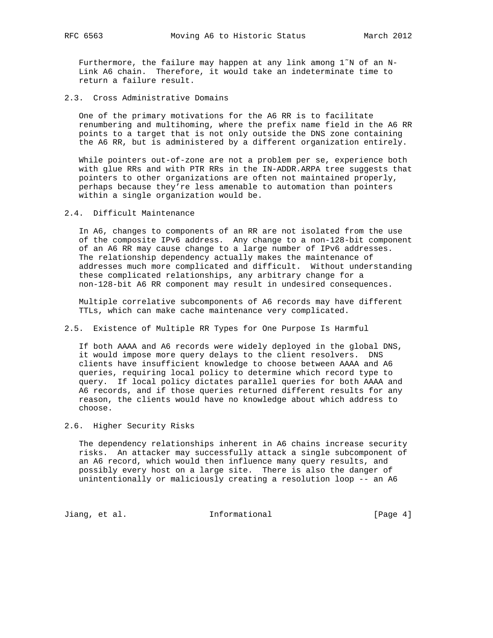Furthermore, the failure may happen at any link among  $1^{\infty}N$  of an N- Link A6 chain. Therefore, it would take an indeterminate time to return a failure result.

2.3. Cross Administrative Domains

 One of the primary motivations for the A6 RR is to facilitate renumbering and multihoming, where the prefix name field in the A6 RR points to a target that is not only outside the DNS zone containing the A6 RR, but is administered by a different organization entirely.

While pointers out-of-zone are not a problem per se, experience both with glue RRs and with PTR RRs in the IN-ADDR.ARPA tree suggests that pointers to other organizations are often not maintained properly, perhaps because they're less amenable to automation than pointers within a single organization would be.

2.4. Difficult Maintenance

 In A6, changes to components of an RR are not isolated from the use of the composite IPv6 address. Any change to a non-128-bit component of an A6 RR may cause change to a large number of IPv6 addresses. The relationship dependency actually makes the maintenance of addresses much more complicated and difficult. Without understanding these complicated relationships, any arbitrary change for a non-128-bit A6 RR component may result in undesired consequences.

 Multiple correlative subcomponents of A6 records may have different TTLs, which can make cache maintenance very complicated.

2.5. Existence of Multiple RR Types for One Purpose Is Harmful

 If both AAAA and A6 records were widely deployed in the global DNS, it would impose more query delays to the client resolvers. DNS clients have insufficient knowledge to choose between AAAA and A6 queries, requiring local policy to determine which record type to query. If local policy dictates parallel queries for both AAAA and A6 records, and if those queries returned different results for any reason, the clients would have no knowledge about which address to choose.

2.6. Higher Security Risks

 The dependency relationships inherent in A6 chains increase security risks. An attacker may successfully attack a single subcomponent of an A6 record, which would then influence many query results, and possibly every host on a large site. There is also the danger of unintentionally or maliciously creating a resolution loop -- an A6

Jiang, et al. Informational [Page 4]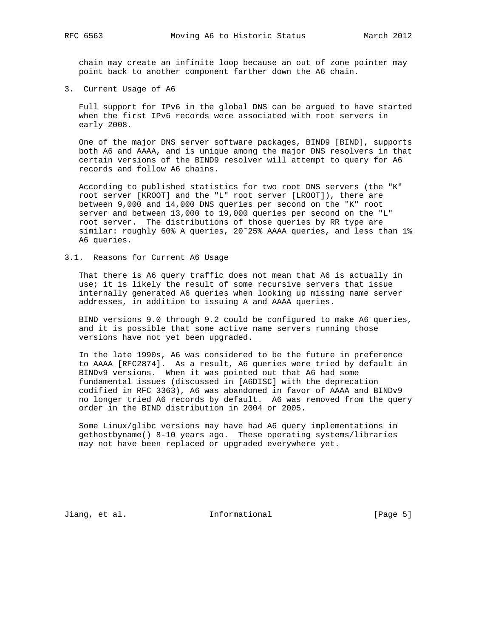chain may create an infinite loop because an out of zone pointer may point back to another component farther down the A6 chain.

3. Current Usage of A6

 Full support for IPv6 in the global DNS can be argued to have started when the first IPv6 records were associated with root servers in early 2008.

 One of the major DNS server software packages, BIND9 [BIND], supports both A6 and AAAA, and is unique among the major DNS resolvers in that certain versions of the BIND9 resolver will attempt to query for A6 records and follow A6 chains.

 According to published statistics for two root DNS servers (the "K" root server [KROOT] and the "L" root server [LROOT]), there are between 9,000 and 14,000 DNS queries per second on the "K" root server and between 13,000 to 19,000 queries per second on the "L" root server. The distributions of those queries by RR type are similar: roughly 60% A queries, 20˜25% AAAA queries, and less than 1% A6 queries.

### 3.1. Reasons for Current A6 Usage

 That there is A6 query traffic does not mean that A6 is actually in use; it is likely the result of some recursive servers that issue internally generated A6 queries when looking up missing name server addresses, in addition to issuing A and AAAA queries.

 BIND versions 9.0 through 9.2 could be configured to make A6 queries, and it is possible that some active name servers running those versions have not yet been upgraded.

 In the late 1990s, A6 was considered to be the future in preference to AAAA [RFC2874]. As a result, A6 queries were tried by default in BINDv9 versions. When it was pointed out that A6 had some fundamental issues (discussed in [A6DISC] with the deprecation codified in RFC 3363), A6 was abandoned in favor of AAAA and BINDv9 no longer tried A6 records by default. A6 was removed from the query order in the BIND distribution in 2004 or 2005.

 Some Linux/glibc versions may have had A6 query implementations in gethostbyname() 8-10 years ago. These operating systems/libraries may not have been replaced or upgraded everywhere yet.

Jiang, et al. 10 1nformational 100 minutional [Page 5]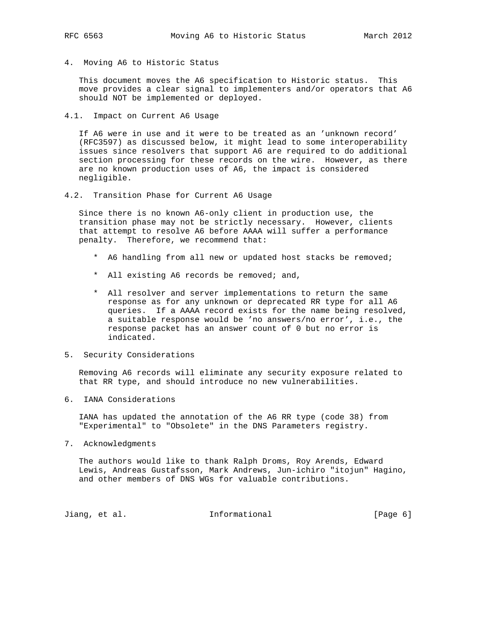4. Moving A6 to Historic Status

 This document moves the A6 specification to Historic status. This move provides a clear signal to implementers and/or operators that A6 should NOT be implemented or deployed.

4.1. Impact on Current A6 Usage

 If A6 were in use and it were to be treated as an 'unknown record' (RFC3597) as discussed below, it might lead to some interoperability issues since resolvers that support A6 are required to do additional section processing for these records on the wire. However, as there are no known production uses of A6, the impact is considered negligible.

4.2. Transition Phase for Current A6 Usage

 Since there is no known A6-only client in production use, the transition phase may not be strictly necessary. However, clients that attempt to resolve A6 before AAAA will suffer a performance penalty. Therefore, we recommend that:

- \* A6 handling from all new or updated host stacks be removed;
- \* All existing A6 records be removed; and,
- \* All resolver and server implementations to return the same response as for any unknown or deprecated RR type for all A6 queries. If a AAAA record exists for the name being resolved, a suitable response would be 'no answers/no error', i.e., the response packet has an answer count of 0 but no error is indicated.
- 5. Security Considerations

 Removing A6 records will eliminate any security exposure related to that RR type, and should introduce no new vulnerabilities.

6. IANA Considerations

 IANA has updated the annotation of the A6 RR type (code 38) from "Experimental" to "Obsolete" in the DNS Parameters registry.

7. Acknowledgments

 The authors would like to thank Ralph Droms, Roy Arends, Edward Lewis, Andreas Gustafsson, Mark Andrews, Jun-ichiro "itojun" Hagino, and other members of DNS WGs for valuable contributions.

Jiang, et al. 10 methormational 10 metal [Page 6]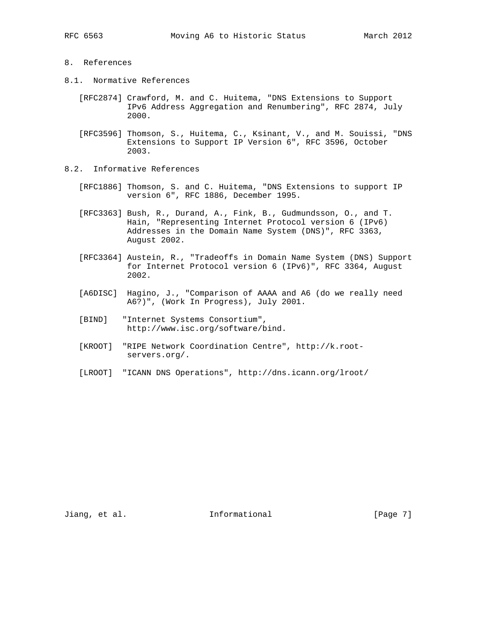## 8. References

- 8.1. Normative References
	- [RFC2874] Crawford, M. and C. Huitema, "DNS Extensions to Support IPv6 Address Aggregation and Renumbering", RFC 2874, July 2000.
	- [RFC3596] Thomson, S., Huitema, C., Ksinant, V., and M. Souissi, "DNS Extensions to Support IP Version 6", RFC 3596, October 2003.
- 8.2. Informative References
	- [RFC1886] Thomson, S. and C. Huitema, "DNS Extensions to support IP version 6", RFC 1886, December 1995.
	- [RFC3363] Bush, R., Durand, A., Fink, B., Gudmundsson, O., and T. Hain, "Representing Internet Protocol version 6 (IPv6) Addresses in the Domain Name System (DNS)", RFC 3363, August 2002.
	- [RFC3364] Austein, R., "Tradeoffs in Domain Name System (DNS) Support for Internet Protocol version 6 (IPv6)", RFC 3364, August 2002.
	- [A6DISC] Hagino, J., "Comparison of AAAA and A6 (do we really need A6?)", (Work In Progress), July 2001.
	- [BIND] "Internet Systems Consortium", http://www.isc.org/software/bind.
	- [KROOT] "RIPE Network Coordination Centre", http://k.root servers.org/.
	- [LROOT] "ICANN DNS Operations", http://dns.icann.org/lroot/

Jiang, et al. 10 1nformational 100 minutional [Page 7]